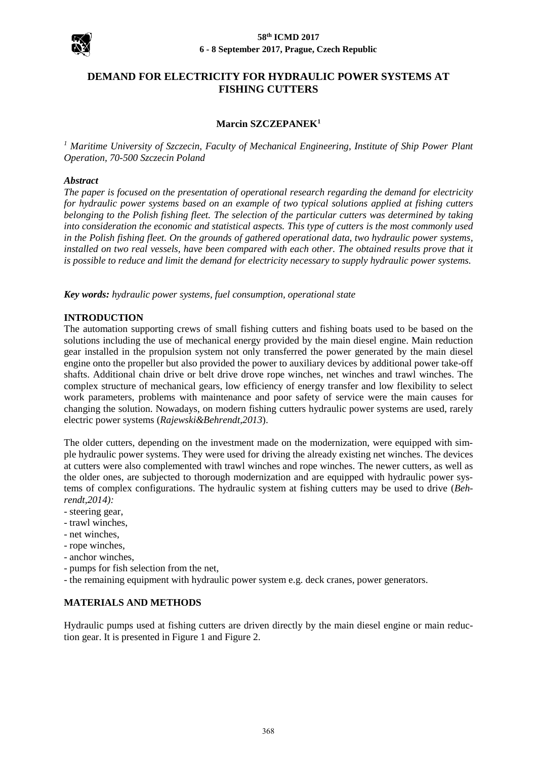

# **DEMAND FOR ELECTRICITY FOR HYDRAULIC POWER SYSTEMS AT FISHING CUTTERS**

## **Marcin SZCZEPANEK<sup>1</sup>**

*<sup>1</sup> Maritime University of Szczecin, Faculty of Mechanical Engineering, Institute of Ship Power Plant Operation, 70-500 Szczecin Poland*

#### *Abstract*

*The paper is focused on the presentation of operational research regarding the demand for electricity for hydraulic power systems based on an example of two typical solutions applied at fishing cutters belonging to the Polish fishing fleet. The selection of the particular cutters was determined by taking into consideration the economic and statistical aspects. This type of cutters is the most commonly used in the Polish fishing fleet. On the grounds of gathered operational data, two hydraulic power systems, installed on two real vessels, have been compared with each other. The obtained results prove that it is possible to reduce and limit the demand for electricity necessary to supply hydraulic power systems.*

*Key words: hydraulic power systems, fuel consumption, operational state*

### **INTRODUCTION**

The automation supporting crews of small fishing cutters and fishing boats used to be based on the solutions including the use of mechanical energy provided by the main diesel engine. Main reduction gear installed in the propulsion system not only transferred the power generated by the main diesel engine onto the propeller but also provided the power to auxiliary devices by additional power take-off shafts. Additional chain drive or belt drive drove rope winches, net winches and trawl winches. The complex structure of mechanical gears, low efficiency of energy transfer and low flexibility to select work parameters, problems with maintenance and poor safety of service were the main causes for changing the solution. Nowadays, on modern fishing cutters hydraulic power systems are used, rarely electric power systems (*Rajewski&Behrendt,2013*).

The older cutters, depending on the investment made on the modernization, were equipped with simple hydraulic power systems. They were used for driving the already existing net winches. The devices at cutters were also complemented with trawl winches and rope winches. The newer cutters, as well as the older ones, are subjected to thorough modernization and are equipped with hydraulic power systems of complex configurations. The hydraulic system at fishing cutters may be used to drive (*Behrendt,2014):* 

- steering gear,
- trawl winches,
- net winches,
- rope winches,
- anchor winches,
- pumps for fish selection from the net,
- the remaining equipment with hydraulic power system e.g. deck cranes, power generators.

## **MATERIALS AND METHODS**

Hydraulic pumps used at fishing cutters are driven directly by the main diesel engine or main reduction gear. It is presented in Figure 1 and Figure 2.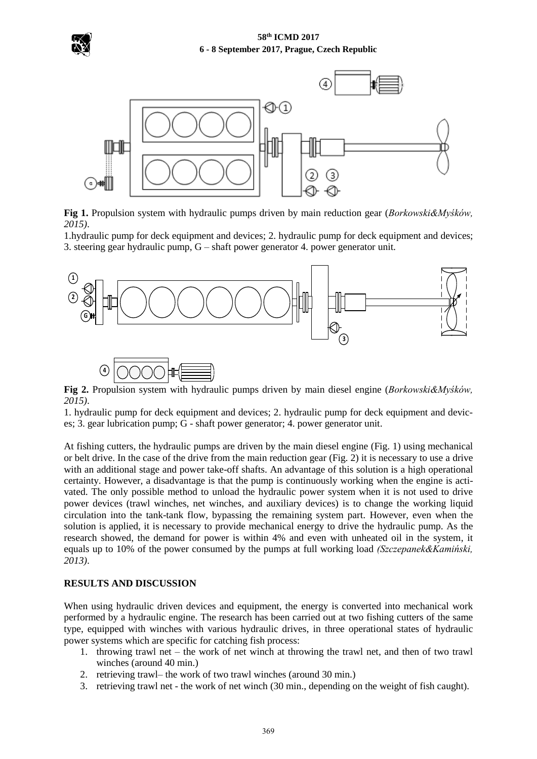



**Fig 1.** Propulsion system with hydraulic pumps driven by main reduction gear (*Borkowski&Myśków, 2015)*.

1.hydraulic pump for deck equipment and devices; 2. hydraulic pump for deck equipment and devices; 3. steering gear hydraulic pump, G – shaft power generator 4. power generator unit.



**Fig 2.** Propulsion system with hydraulic pumps driven by main diesel engine (*Borkowski&Myśków, 2015)*.

1. hydraulic pump for deck equipment and devices; 2. hydraulic pump for deck equipment and devices; 3. gear lubrication pump; G - shaft power generator; 4. power generator unit.

At fishing cutters, the hydraulic pumps are driven by the main diesel engine (Fig. 1) using mechanical or belt drive. In the case of the drive from the main reduction gear (Fig. 2) it is necessary to use a drive with an additional stage and power take-off shafts. An advantage of this solution is a high operational certainty. However, a disadvantage is that the pump is continuously working when the engine is activated. The only possible method to unload the hydraulic power system when it is not used to drive power devices (trawl winches, net winches, and auxiliary devices) is to change the working liquid circulation into the tank-tank flow, bypassing the remaining system part. However, even when the solution is applied, it is necessary to provide mechanical energy to drive the hydraulic pump. As the research showed, the demand for power is within 4% and even with unheated oil in the system, it equals up to 10% of the power consumed by the pumps at full working load *(Szczepanek&Kamiński, 2013)*.

### **RESULTS AND DISCUSSION**

When using hydraulic driven devices and equipment, the energy is converted into mechanical work performed by a hydraulic engine. The research has been carried out at two fishing cutters of the same type, equipped with winches with various hydraulic drives, in three operational states of hydraulic power systems which are specific for catching fish process:

- 1. throwing trawl net the work of net winch at throwing the trawl net, and then of two trawl winches (around 40 min.)
- 2. retrieving trawl– the work of two trawl winches (around 30 min.)
- 3. retrieving trawl net the work of net winch (30 min., depending on the weight of fish caught).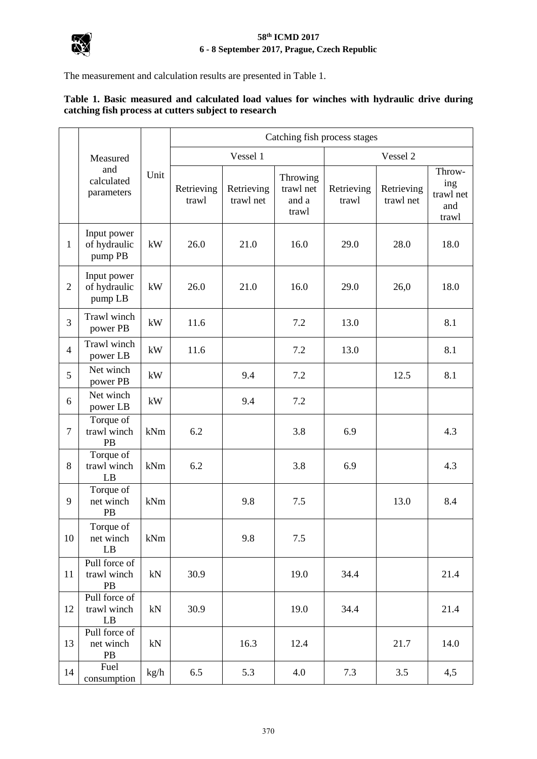

The measurement and calculation results are presented in Table 1.

# **Table 1. Basic measured and calculated load values for winches with hydraulic drive during catching fish process at cutters subject to research**

|                | Measured<br>and<br>calculated<br>parameters | Unit | Catching fish process stages |                         |                                         |                     |                         |                                            |
|----------------|---------------------------------------------|------|------------------------------|-------------------------|-----------------------------------------|---------------------|-------------------------|--------------------------------------------|
|                |                                             |      | Vessel 1                     |                         |                                         | Vessel 2            |                         |                                            |
|                |                                             |      | Retrieving<br>trawl          | Retrieving<br>trawl net | Throwing<br>trawl net<br>and a<br>trawl | Retrieving<br>trawl | Retrieving<br>trawl net | Throw-<br>ing<br>trawl net<br>and<br>trawl |
| $\mathbf{1}$   | Input power<br>of hydraulic<br>pump PB      | kW   | 26.0                         | 21.0                    | 16.0                                    | 29.0                | 28.0                    | 18.0                                       |
| $\overline{2}$ | Input power<br>of hydraulic<br>pump LB      | kW   | 26.0                         | 21.0                    | 16.0                                    | 29.0                | 26,0                    | 18.0                                       |
| 3              | Trawl winch<br>power PB                     | kW   | 11.6                         |                         | 7.2                                     | 13.0                |                         | 8.1                                        |
| $\overline{4}$ | Trawl winch<br>power LB                     | kW   | 11.6                         |                         | 7.2                                     | 13.0                |                         | 8.1                                        |
| 5              | Net winch<br>power PB                       | kW   |                              | 9.4                     | 7.2                                     |                     | 12.5                    | 8.1                                        |
| 6              | Net winch<br>power LB                       | kW   |                              | 9.4                     | 7.2                                     |                     |                         |                                            |
| $\overline{7}$ | Torque of<br>trawl winch<br>PB              | kNm  | 6.2                          |                         | 3.8                                     | 6.9                 |                         | 4.3                                        |
| 8              | Torque of<br>trawl winch<br>LB              | kNm  | 6.2                          |                         | 3.8                                     | 6.9                 |                         | 4.3                                        |
| 9              | Torque of<br>net winch<br>PB                | kNm  |                              | 9.8                     | 7.5                                     |                     | 13.0                    | 8.4                                        |
| 10             | Torque of<br>net winch<br>$\rm LB$          | kNm  |                              | 9.8                     | $7.5$                                   |                     |                         |                                            |
| 11             | Pull force of<br>trawl winch<br>PB          | kN   | 30.9                         |                         | 19.0                                    | 34.4                |                         | 21.4                                       |
| 12             | Pull force of<br>trawl winch<br>LB          | kN   | 30.9                         |                         | 19.0                                    | 34.4                |                         | 21.4                                       |
| 13             | Pull force of<br>net winch<br>PB            | kN   |                              | 16.3                    | 12.4                                    |                     | 21.7                    | 14.0                                       |
| 14             | Fuel<br>consumption                         | kg/h | 6.5                          | 5.3                     | 4.0                                     | 7.3                 | 3.5                     | 4,5                                        |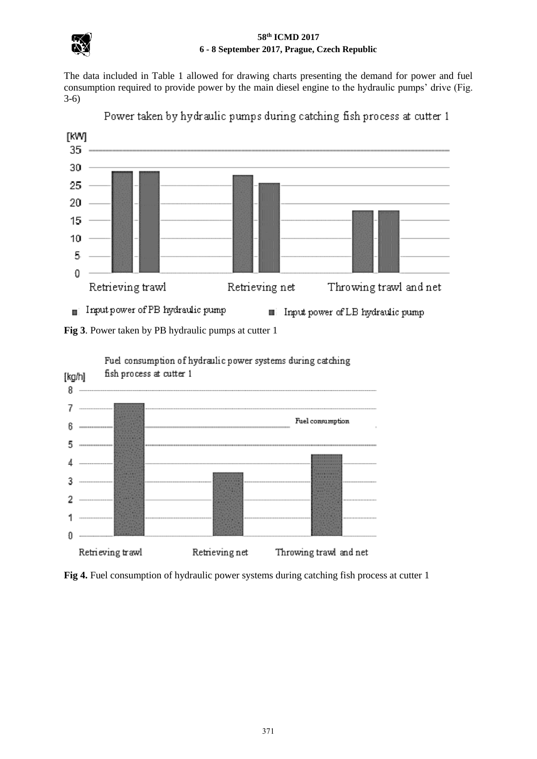

The data included in Table 1 allowed for drawing charts presenting the demand for power and fuel consumption required to provide power by the main diesel engine to the hydraulic pumps' drive (Fig. 3-6)



Power taken by hydraulic pumps during catching fish process at cutter 1

Fig 3. Power taken by PB hydraulic pumps at cutter 1



Fuel consumption of hydraulic power systems during catching

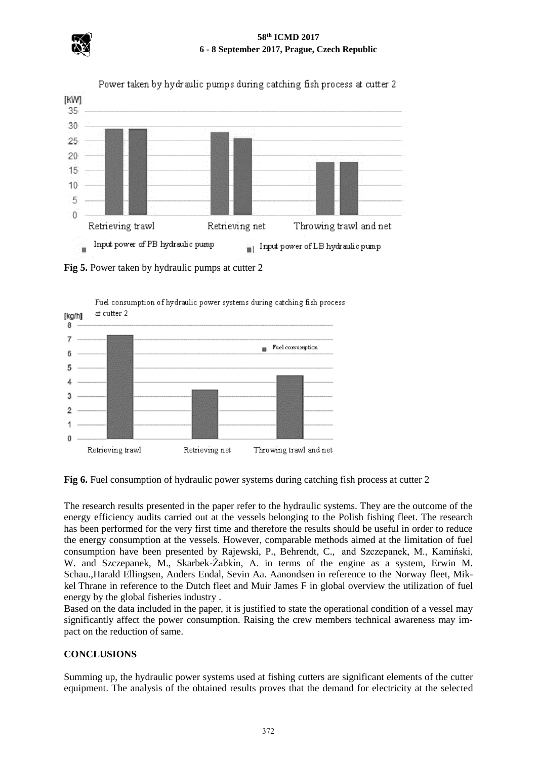



**Fig 5.** Power taken by hydraulic pumps at cutter 2



**Fig 6.** Fuel consumption of hydraulic power systems during catching fish process at cutter 2

The research results presented in the paper refer to the hydraulic systems. They are the outcome of the energy efficiency audits carried out at the vessels belonging to the Polish fishing fleet. The research has been performed for the very first time and therefore the results should be useful in order to reduce the energy consumption at the vessels. However, comparable methods aimed at the limitation of fuel consumption have been presented by Rajewski, P., Behrendt, C., and Szczepanek, M., Kamiński, W. and Szczepanek, M., Skarbek-Żabkin, A. in terms of the engine as a system, Erwin M. Schau.,Harald Ellingsen, Anders Endal, Sevin Aa. Aanondsen in reference to the Norway fleet, Mikkel Thrane in reference to the Dutch fleet and Muir James F in global overview the utilization of fuel energy by the global fisheries industry .

Based on the data included in the paper, it is justified to state the operational condition of a vessel may significantly affect the power consumption. Raising the crew members technical awareness may impact on the reduction of same.

# **CONCLUSIONS**

Summing up, the hydraulic power systems used at fishing cutters are significant elements of the cutter equipment. The analysis of the obtained results proves that the demand for electricity at the selected